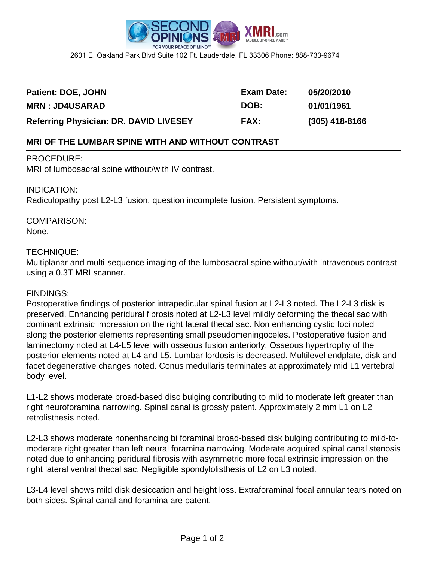

2601 E. Oakland Park Blvd Suite 102 Ft. Lauderdale, FL 33306 Phone: 888-733-9674

| Patient: DOE, JOHN                            | Exam Date:  | 05/20/2010       |
|-----------------------------------------------|-------------|------------------|
| <b>MRN: JD4USARAD</b>                         | DOB:        | 01/01/1961       |
| <b>Referring Physician: DR. DAVID LIVESEY</b> | <b>FAX:</b> | $(305)$ 418-8166 |

## **MRI OF THE LUMBAR SPINE WITH AND WITHOUT CONTRAST**

#### PROCEDURE:

MRI of lumbosacral spine without/with IV contrast.

### INDICATION:

Radiculopathy post L2-L3 fusion, question incomplete fusion. Persistent symptoms.

# COMPARISON:

## None.

## TECHNIQUE:

Multiplanar and multi-sequence imaging of the lumbosacral spine without/with intravenous contrast using a 0.3T MRI scanner.

#### FINDINGS:

Postoperative findings of posterior intrapedicular spinal fusion at L2-L3 noted. The L2-L3 disk is preserved. Enhancing peridural fibrosis noted at L2-L3 level mildly deforming the thecal sac with dominant extrinsic impression on the right lateral thecal sac. Non enhancing cystic foci noted along the posterior elements representing small pseudomeningoceles. Postoperative fusion and laminectomy noted at L4-L5 level with osseous fusion anteriorly. Osseous hypertrophy of the posterior elements noted at L4 and L5. Lumbar lordosis is decreased. Multilevel endplate, disk and facet degenerative changes noted. Conus medullaris terminates at approximately mid L1 vertebral body level.

L1-L2 shows moderate broad-based disc bulging contributing to mild to moderate left greater than right neuroforamina narrowing. Spinal canal is grossly patent. Approximately 2 mm L1 on L2 retrolisthesis noted.

L2-L3 shows moderate nonenhancing bi foraminal broad-based disk bulging contributing to mild-tomoderate right greater than left neural foramina narrowing. Moderate acquired spinal canal stenosis noted due to enhancing peridural fibrosis with asymmetric more focal extrinsic impression on the right lateral ventral thecal sac. Negligible spondylolisthesis of L2 on L3 noted.

L3-L4 level shows mild disk desiccation and height loss. Extraforaminal focal annular tears noted on both sides. Spinal canal and foramina are patent.